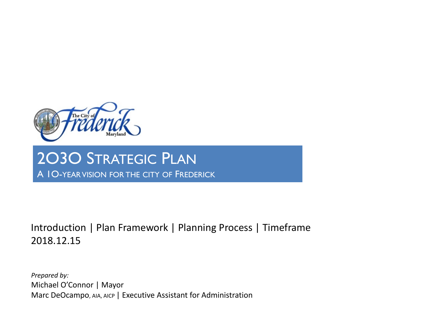

# 2O3O STRATEGIC PLAN A 1O-YEARVISION FOR THE CITY OF FREDERICK

## Introduction | Plan Framework | Planning Process | Timeframe 2018.12.15

*Prepared by:* Michael O'Connor | Mayor Marc DeOcampo, AIA, AICP | Executive Assistant for Administration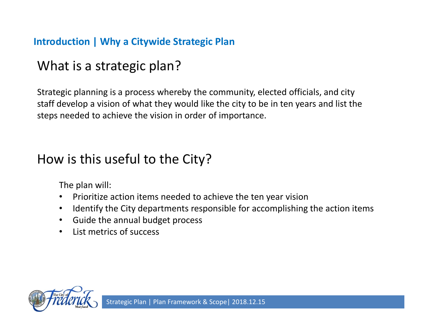### **Introduction | Why a Citywide Strategic Plan**

# What is a strategic plan?

Strategic planning is a process whereby the community, elected officials, and city staff develop a vision of what they would like the city to be in ten years and list the steps needed to achieve the vision in order of importance.

# How is this useful to the City?

The plan will:

- Prioritize action items needed to achieve the ten year vision
- Identify the City departments responsible for accomplishing the action items
- Guide the annual budget process
- List metrics of success

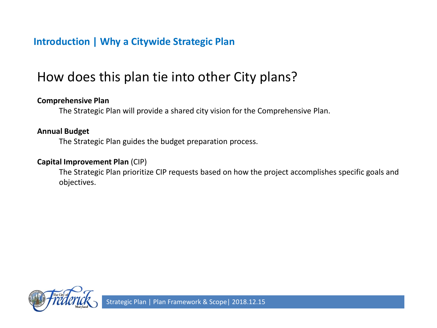#### **Introduction | Why a Citywide Strategic Plan**

# How does this plan tie into other City plans?

#### **Comprehensive Plan**

The Strategic Plan will provide a shared city vision for the Comprehensive Plan.

#### **Annual Budget**

The Strategic Plan guides the budget preparation process.

#### **Capital Improvement Plan** (CIP)

The Strategic Plan prioritize CIP requests based on how the project accomplishes specific goals and objectives.

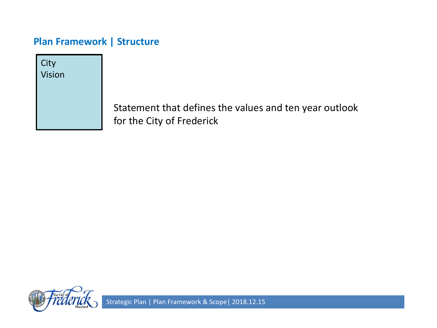**City** Vision

> Statement that defines the values and ten year outlook for the City of Frederick

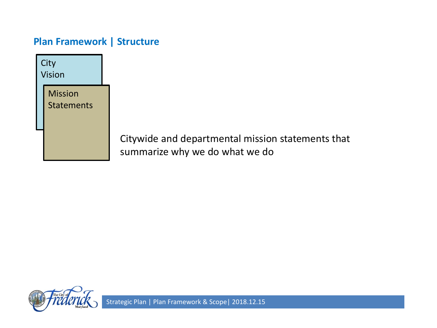



Citywide and departmental mission statements that summarize why we do what we do

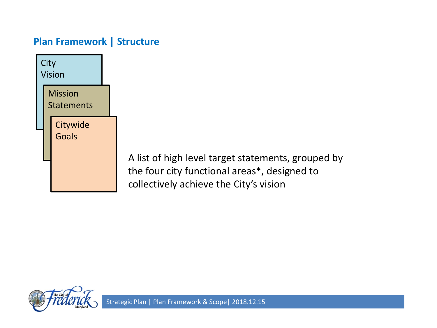



A list of high level target statements, grouped by the four city functional areas\*, designed to collectively achieve the City's vision

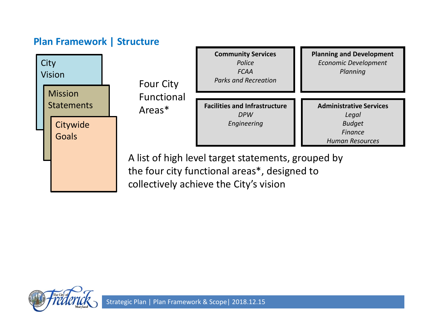



A list of high level target statements, grouped by the four city functional areas\*, designed to collectively achieve the City's vision

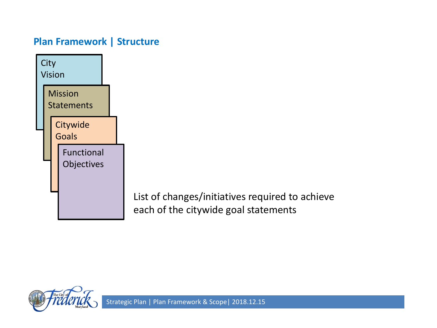

List of changes/initiatives required to achieve each of the citywide goal statements

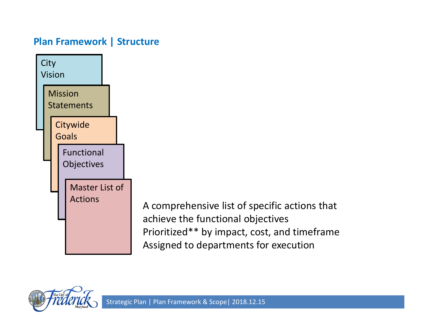

A comprehensive list of specific actions that achieve the functional objectives Prioritized\*\* by impact, cost, and timeframe Assigned to departments for execution

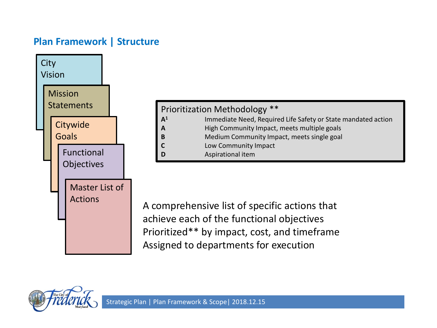

| Prioritization Methodology ** |                                                               |  |
|-------------------------------|---------------------------------------------------------------|--|
| A <sup>1</sup>                | Immediate Need, Required Life Safety or State mandated action |  |
| A                             | High Community Impact, meets multiple goals                   |  |
| B                             | Medium Community Impact, meets single goal                    |  |
| $\mathsf{C}$                  | Low Community Impact                                          |  |
| D                             | Aspirational item                                             |  |

A comprehensive list of specific actions that achieve each of the functional objectives Prioritized\*\* by impact, cost, and timeframe Assigned to departments for execution

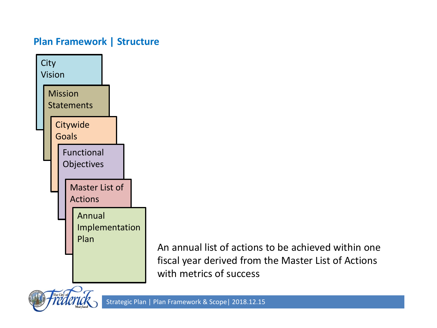

An annual list of actions to be achieved within one fiscal year derived from the Master List of Actions with metrics of success

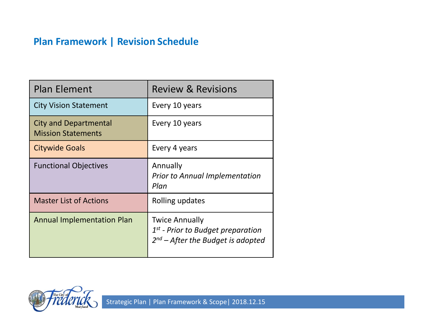### **Plan Framework | Revision Schedule**

| <b>Plan Element</b>                                       | <b>Review &amp; Revisions</b>                                                                          |
|-----------------------------------------------------------|--------------------------------------------------------------------------------------------------------|
| <b>City Vision Statement</b>                              | Every 10 years                                                                                         |
| <b>City and Departmental</b><br><b>Mission Statements</b> | Every 10 years                                                                                         |
| <b>Citywide Goals</b>                                     | Every 4 years                                                                                          |
| <b>Functional Objectives</b>                              | Annually<br><b>Prior to Annual Implementation</b><br>Plan                                              |
| <b>Master List of Actions</b>                             | Rolling updates                                                                                        |
| <b>Annual Implementation Plan</b>                         | <b>Twice Annually</b><br>$1st$ - Prior to Budget preparation<br>$2^{nd}$ – After the Budget is adopted |

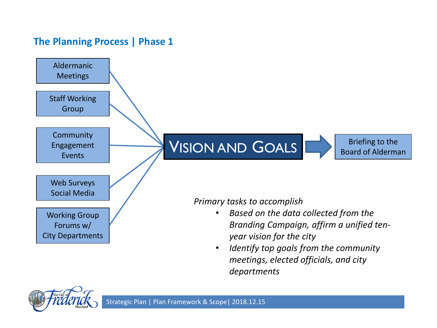#### **The Planning Process | Phase 1**



*meetings, elected officials, and city departments*

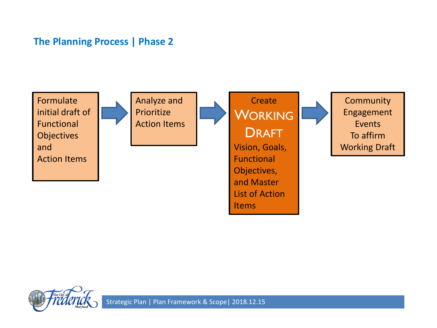#### **The Planning Process | Phase 2**



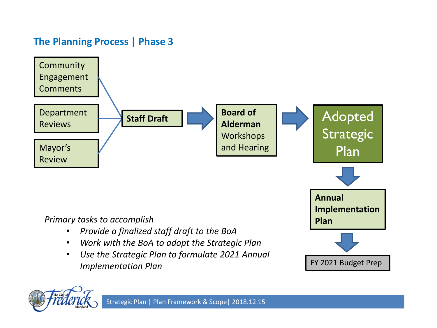## **The Planning Process | Phase 3**



#### *Primary tasks to accomplish*

- *Provide a finalized staff draft to the BoA*
- *Work with the BoA to adopt the Strategic Plan*
- *Use the Strategic Plan to formulate 2021 Annual Implementation Plan*



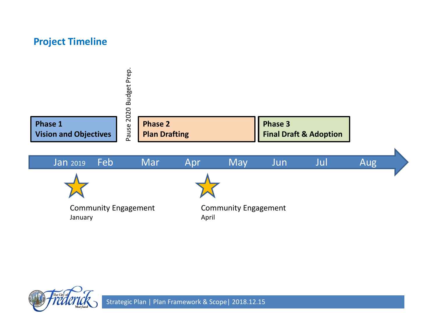#### **Project Timeline**